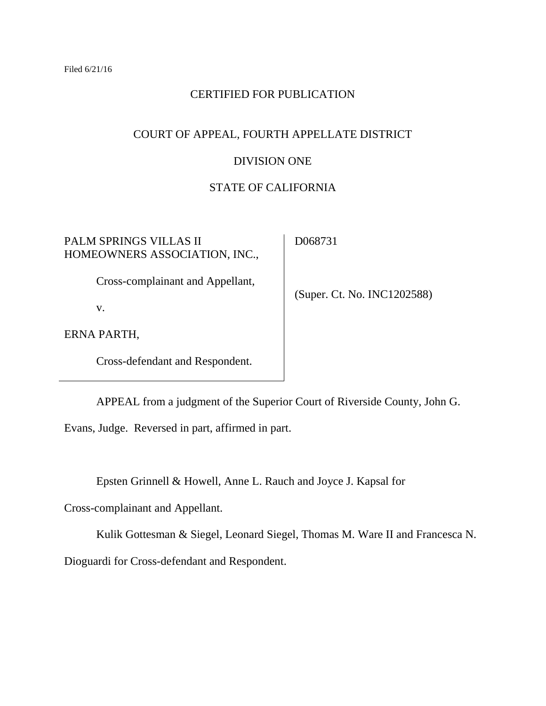# CERTIFIED FOR PUBLICATION

# COURT OF APPEAL, FOURTH APPELLATE DISTRICT

# DIVISION ONE

# STATE OF CALIFORNIA

| PALM SPRINGS VILLAS II<br>HOMEOWNERS ASSOCIATION, INC., | D068731                     |
|---------------------------------------------------------|-----------------------------|
| Cross-complainant and Appellant,                        | (Super. Ct. No. INC1202588) |
| V.                                                      |                             |
| ERNA PARTH,                                             |                             |
| Cross-defendant and Respondent.                         |                             |

APPEAL from a judgment of the Superior Court of Riverside County, John G.

Evans, Judge. Reversed in part, affirmed in part.

Epsten Grinnell & Howell, Anne L. Rauch and Joyce J. Kapsal for

Cross-complainant and Appellant.

Kulik Gottesman & Siegel, Leonard Siegel, Thomas M. Ware II and Francesca N.

Dioguardi for Cross-defendant and Respondent.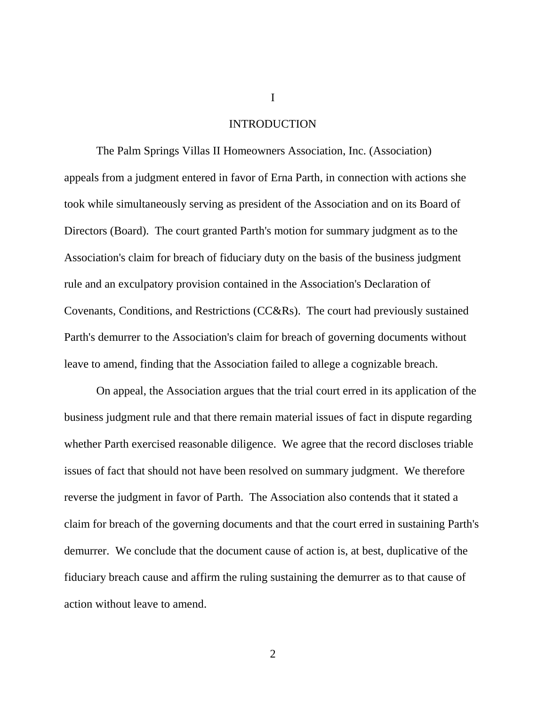### INTRODUCTION

The Palm Springs Villas II Homeowners Association, Inc. (Association) appeals from a judgment entered in favor of Erna Parth, in connection with actions she took while simultaneously serving as president of the Association and on its Board of Directors (Board). The court granted Parth's motion for summary judgment as to the Association's claim for breach of fiduciary duty on the basis of the business judgment rule and an exculpatory provision contained in the Association's Declaration of Covenants, Conditions, and Restrictions (CC&Rs). The court had previously sustained Parth's demurrer to the Association's claim for breach of governing documents without leave to amend, finding that the Association failed to allege a cognizable breach.

On appeal, the Association argues that the trial court erred in its application of the business judgment rule and that there remain material issues of fact in dispute regarding whether Parth exercised reasonable diligence. We agree that the record discloses triable issues of fact that should not have been resolved on summary judgment. We therefore reverse the judgment in favor of Parth. The Association also contends that it stated a claim for breach of the governing documents and that the court erred in sustaining Parth's demurrer. We conclude that the document cause of action is, at best, duplicative of the fiduciary breach cause and affirm the ruling sustaining the demurrer as to that cause of action without leave to amend.

2

I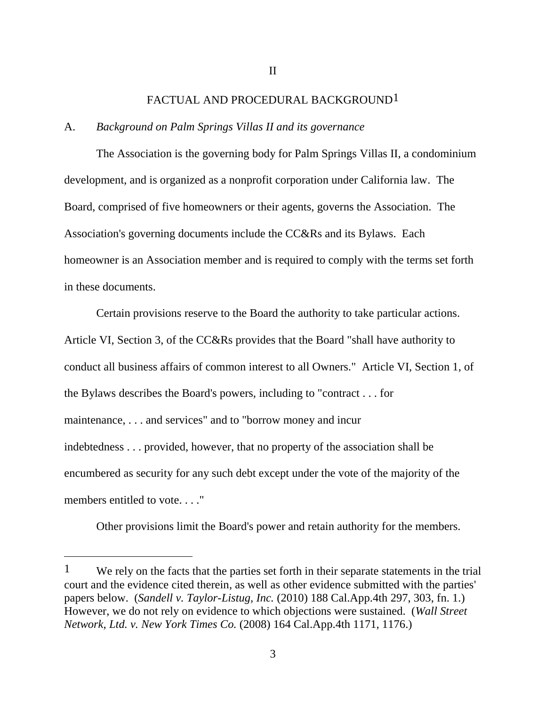## FACTUAL AND PROCEDURAL BACKGROUND1

#### A. *Background on Palm Springs Villas II and its governance*

The Association is the governing body for Palm Springs Villas II, a condominium development, and is organized as a nonprofit corporation under California law. The Board, comprised of five homeowners or their agents, governs the Association. The Association's governing documents include the CC&Rs and its Bylaws. Each homeowner is an Association member and is required to comply with the terms set forth in these documents.

Certain provisions reserve to the Board the authority to take particular actions. Article VI, Section 3, of the CC&Rs provides that the Board "shall have authority to conduct all business affairs of common interest to all Owners." Article VI, Section 1, of the Bylaws describes the Board's powers, including to "contract . . . for maintenance, . . . and services" and to "borrow money and incur indebtedness . . . provided, however, that no property of the association shall be encumbered as security for any such debt except under the vote of the majority of the members entitled to vote. . . ."

Other provisions limit the Board's power and retain authority for the members.

<sup>&</sup>lt;sup>1</sup> We rely on the facts that the parties set forth in their separate statements in the trial court and the evidence cited therein, as well as other evidence submitted with the parties' papers below. (*Sandell v. Taylor-Listug, Inc.* (2010) 188 Cal.App.4th 297, 303, fn. 1.) However, we do not rely on evidence to which objections were sustained. (*Wall Street Network, Ltd. v. New York Times Co.* (2008) 164 Cal.App.4th 1171, 1176.)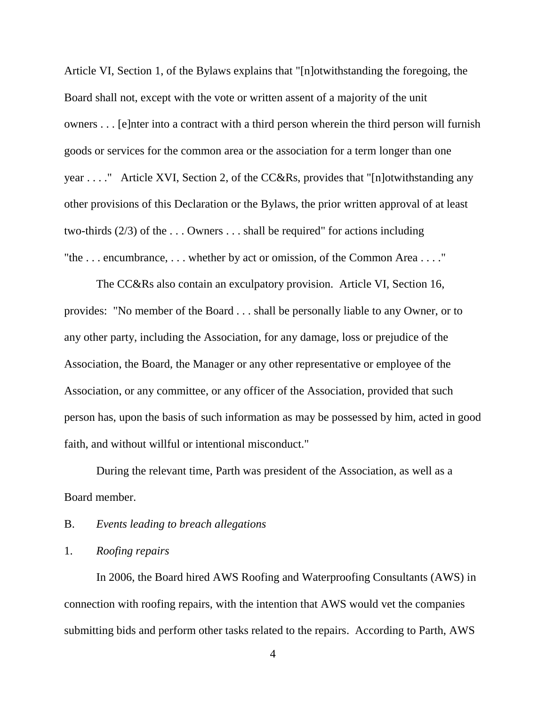Article VI, Section 1, of the Bylaws explains that "[n]otwithstanding the foregoing, the Board shall not, except with the vote or written assent of a majority of the unit owners . . . [e]nter into a contract with a third person wherein the third person will furnish goods or services for the common area or the association for a term longer than one year . . . ." Article XVI, Section 2, of the CC&Rs, provides that "[n]otwithstanding any other provisions of this Declaration or the Bylaws, the prior written approval of at least two-thirds (2/3) of the . . . Owners . . . shall be required" for actions including "the . . . encumbrance, . . . whether by act or omission, of the Common Area . . . ."

The CC&Rs also contain an exculpatory provision. Article VI, Section 16, provides: "No member of the Board . . . shall be personally liable to any Owner, or to any other party, including the Association, for any damage, loss or prejudice of the Association, the Board, the Manager or any other representative or employee of the Association, or any committee, or any officer of the Association, provided that such person has, upon the basis of such information as may be possessed by him, acted in good faith, and without willful or intentional misconduct."

During the relevant time, Parth was president of the Association, as well as a Board member.

#### B. *Events leading to breach allegations*

## 1. *Roofing repairs*

In 2006, the Board hired AWS Roofing and Waterproofing Consultants (AWS) in connection with roofing repairs, with the intention that AWS would vet the companies submitting bids and perform other tasks related to the repairs. According to Parth, AWS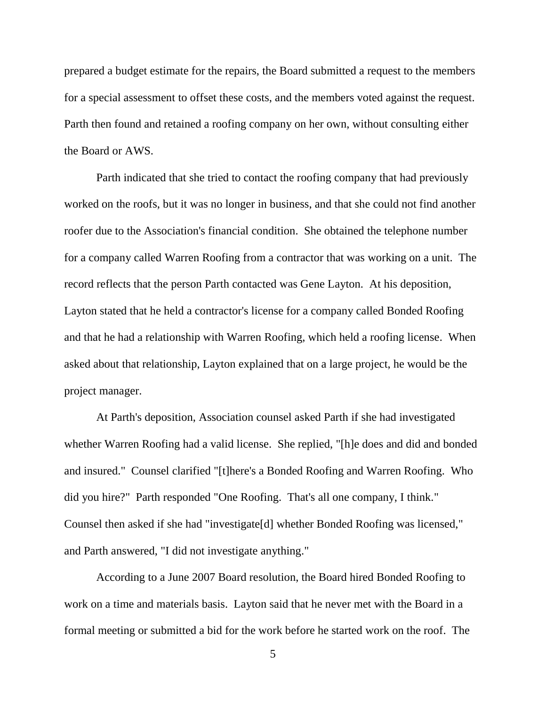prepared a budget estimate for the repairs, the Board submitted a request to the members for a special assessment to offset these costs, and the members voted against the request. Parth then found and retained a roofing company on her own, without consulting either the Board or AWS.

Parth indicated that she tried to contact the roofing company that had previously worked on the roofs, but it was no longer in business, and that she could not find another roofer due to the Association's financial condition. She obtained the telephone number for a company called Warren Roofing from a contractor that was working on a unit. The record reflects that the person Parth contacted was Gene Layton. At his deposition, Layton stated that he held a contractor's license for a company called Bonded Roofing and that he had a relationship with Warren Roofing, which held a roofing license. When asked about that relationship, Layton explained that on a large project, he would be the project manager.

At Parth's deposition, Association counsel asked Parth if she had investigated whether Warren Roofing had a valid license. She replied, "[h]e does and did and bonded and insured." Counsel clarified "[t]here's a Bonded Roofing and Warren Roofing. Who did you hire?" Parth responded "One Roofing. That's all one company, I think." Counsel then asked if she had "investigate[d] whether Bonded Roofing was licensed," and Parth answered, "I did not investigate anything."

According to a June 2007 Board resolution, the Board hired Bonded Roofing to work on a time and materials basis. Layton said that he never met with the Board in a formal meeting or submitted a bid for the work before he started work on the roof. The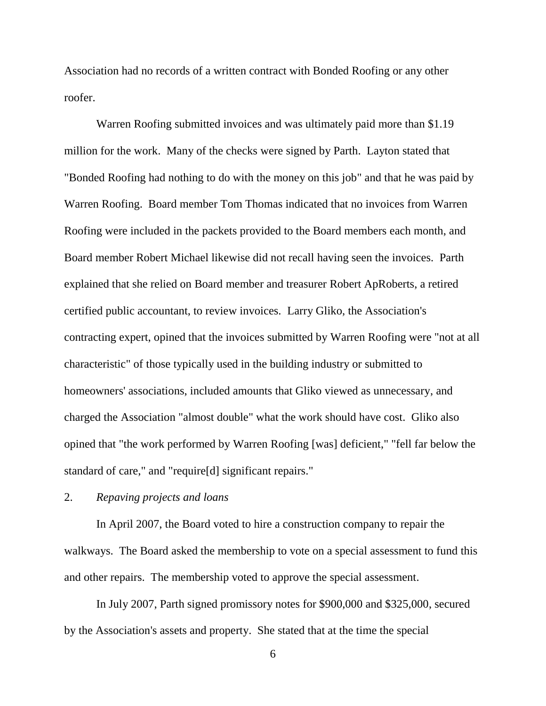Association had no records of a written contract with Bonded Roofing or any other roofer.

Warren Roofing submitted invoices and was ultimately paid more than \$1.19 million for the work. Many of the checks were signed by Parth. Layton stated that "Bonded Roofing had nothing to do with the money on this job" and that he was paid by Warren Roofing. Board member Tom Thomas indicated that no invoices from Warren Roofing were included in the packets provided to the Board members each month, and Board member Robert Michael likewise did not recall having seen the invoices. Parth explained that she relied on Board member and treasurer Robert ApRoberts, a retired certified public accountant, to review invoices. Larry Gliko, the Association's contracting expert, opined that the invoices submitted by Warren Roofing were "not at all characteristic" of those typically used in the building industry or submitted to homeowners' associations, included amounts that Gliko viewed as unnecessary, and charged the Association "almost double" what the work should have cost. Gliko also opined that "the work performed by Warren Roofing [was] deficient," "fell far below the standard of care," and "require[d] significant repairs."

## 2. *Repaving projects and loans*

In April 2007, the Board voted to hire a construction company to repair the walkways. The Board asked the membership to vote on a special assessment to fund this and other repairs. The membership voted to approve the special assessment.

In July 2007, Parth signed promissory notes for \$900,000 and \$325,000, secured by the Association's assets and property. She stated that at the time the special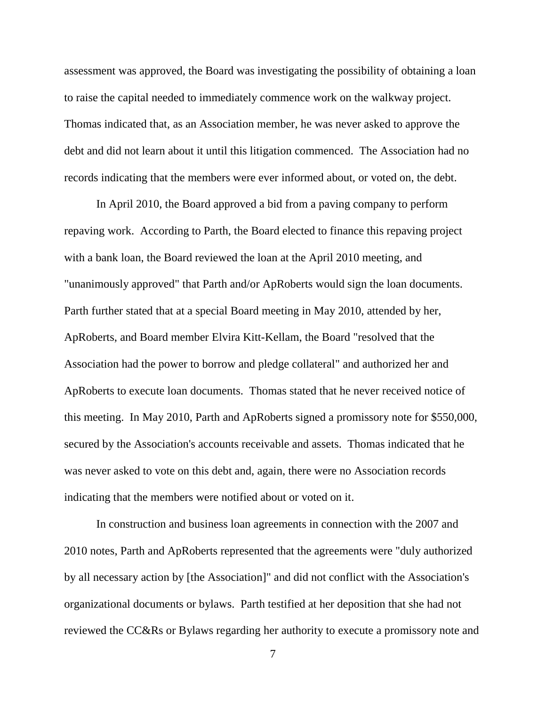assessment was approved, the Board was investigating the possibility of obtaining a loan to raise the capital needed to immediately commence work on the walkway project. Thomas indicated that, as an Association member, he was never asked to approve the debt and did not learn about it until this litigation commenced. The Association had no records indicating that the members were ever informed about, or voted on, the debt.

In April 2010, the Board approved a bid from a paving company to perform repaving work. According to Parth, the Board elected to finance this repaving project with a bank loan, the Board reviewed the loan at the April 2010 meeting, and "unanimously approved" that Parth and/or ApRoberts would sign the loan documents. Parth further stated that at a special Board meeting in May 2010, attended by her, ApRoberts, and Board member Elvira Kitt-Kellam, the Board "resolved that the Association had the power to borrow and pledge collateral" and authorized her and ApRoberts to execute loan documents. Thomas stated that he never received notice of this meeting. In May 2010, Parth and ApRoberts signed a promissory note for \$550,000, secured by the Association's accounts receivable and assets. Thomas indicated that he was never asked to vote on this debt and, again, there were no Association records indicating that the members were notified about or voted on it.

In construction and business loan agreements in connection with the 2007 and 2010 notes, Parth and ApRoberts represented that the agreements were "duly authorized by all necessary action by [the Association]" and did not conflict with the Association's organizational documents or bylaws. Parth testified at her deposition that she had not reviewed the CC&Rs or Bylaws regarding her authority to execute a promissory note and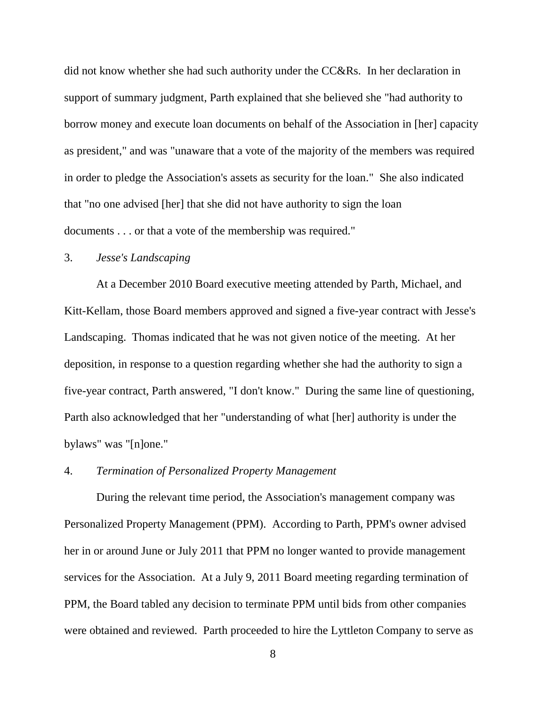did not know whether she had such authority under the CC&Rs. In her declaration in support of summary judgment, Parth explained that she believed she "had authority to borrow money and execute loan documents on behalf of the Association in [her] capacity as president," and was "unaware that a vote of the majority of the members was required in order to pledge the Association's assets as security for the loan." She also indicated that "no one advised [her] that she did not have authority to sign the loan documents . . . or that a vote of the membership was required."

## 3. *Jesse's Landscaping*

At a December 2010 Board executive meeting attended by Parth, Michael, and Kitt-Kellam, those Board members approved and signed a five-year contract with Jesse's Landscaping. Thomas indicated that he was not given notice of the meeting. At her deposition, in response to a question regarding whether she had the authority to sign a five-year contract, Parth answered, "I don't know." During the same line of questioning, Parth also acknowledged that her "understanding of what [her] authority is under the bylaws" was "[n]one."

# 4. *Termination of Personalized Property Management*

During the relevant time period, the Association's management company was Personalized Property Management (PPM). According to Parth, PPM's owner advised her in or around June or July 2011 that PPM no longer wanted to provide management services for the Association. At a July 9, 2011 Board meeting regarding termination of PPM, the Board tabled any decision to terminate PPM until bids from other companies were obtained and reviewed. Parth proceeded to hire the Lyttleton Company to serve as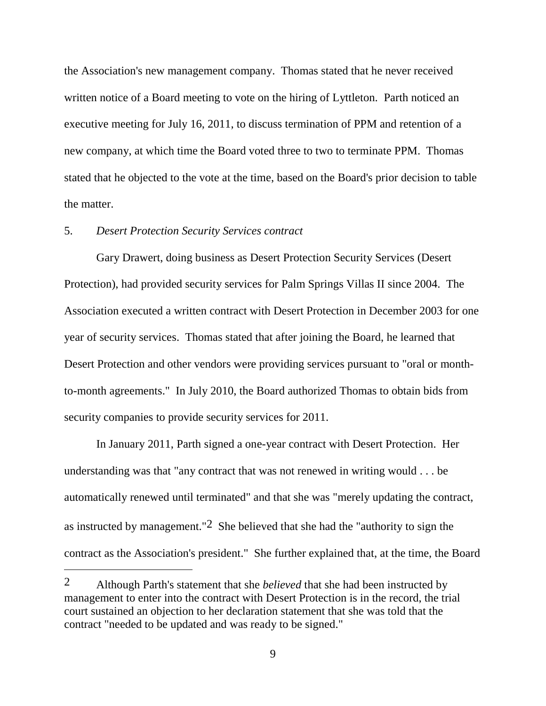the Association's new management company. Thomas stated that he never received written notice of a Board meeting to vote on the hiring of Lyttleton. Parth noticed an executive meeting for July 16, 2011, to discuss termination of PPM and retention of a new company, at which time the Board voted three to two to terminate PPM. Thomas stated that he objected to the vote at the time, based on the Board's prior decision to table the matter.

# 5. *Desert Protection Security Services contract*

Gary Drawert, doing business as Desert Protection Security Services (Desert Protection), had provided security services for Palm Springs Villas II since 2004. The Association executed a written contract with Desert Protection in December 2003 for one year of security services. Thomas stated that after joining the Board, he learned that Desert Protection and other vendors were providing services pursuant to "oral or monthto-month agreements." In July 2010, the Board authorized Thomas to obtain bids from security companies to provide security services for 2011.

In January 2011, Parth signed a one-year contract with Desert Protection. Her understanding was that "any contract that was not renewed in writing would . . . be automatically renewed until terminated" and that she was "merely updating the contract, as instructed by management."<sup>2</sup> She believed that she had the "authority to sign the contract as the Association's president." She further explained that, at the time, the Board

<sup>2</sup> Although Parth's statement that she *believed* that she had been instructed by management to enter into the contract with Desert Protection is in the record, the trial court sustained an objection to her declaration statement that she was told that the contract "needed to be updated and was ready to be signed."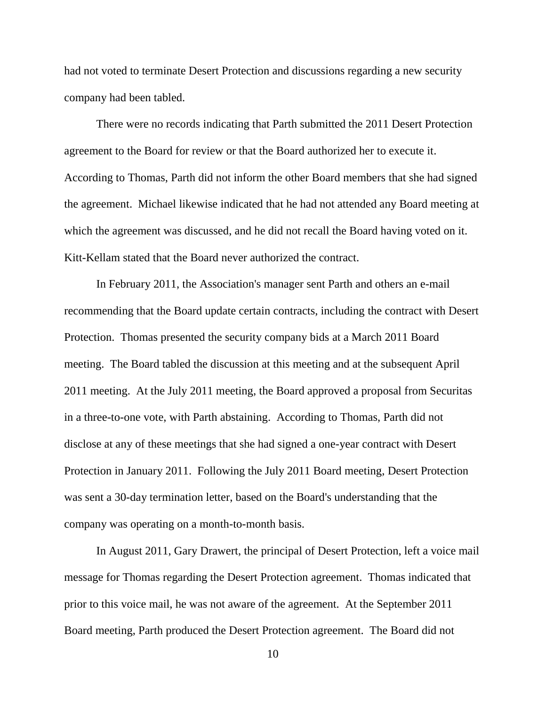had not voted to terminate Desert Protection and discussions regarding a new security company had been tabled.

There were no records indicating that Parth submitted the 2011 Desert Protection agreement to the Board for review or that the Board authorized her to execute it. According to Thomas, Parth did not inform the other Board members that she had signed the agreement. Michael likewise indicated that he had not attended any Board meeting at which the agreement was discussed, and he did not recall the Board having voted on it. Kitt-Kellam stated that the Board never authorized the contract.

In February 2011, the Association's manager sent Parth and others an e-mail recommending that the Board update certain contracts, including the contract with Desert Protection. Thomas presented the security company bids at a March 2011 Board meeting. The Board tabled the discussion at this meeting and at the subsequent April 2011 meeting. At the July 2011 meeting, the Board approved a proposal from Securitas in a three-to-one vote, with Parth abstaining. According to Thomas, Parth did not disclose at any of these meetings that she had signed a one-year contract with Desert Protection in January 2011. Following the July 2011 Board meeting, Desert Protection was sent a 30-day termination letter, based on the Board's understanding that the company was operating on a month-to-month basis.

In August 2011, Gary Drawert, the principal of Desert Protection, left a voice mail message for Thomas regarding the Desert Protection agreement. Thomas indicated that prior to this voice mail, he was not aware of the agreement. At the September 2011 Board meeting, Parth produced the Desert Protection agreement. The Board did not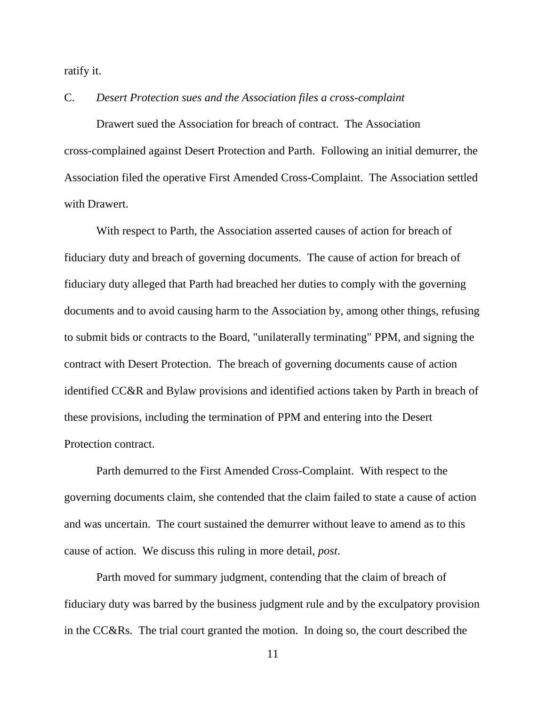ratify it.

## C. *Desert Protection sues and the Association files a cross-complaint*

Drawert sued the Association for breach of contract. The Association cross-complained against Desert Protection and Parth. Following an initial demurrer, the Association filed the operative First Amended Cross-Complaint. The Association settled with Drawert.

With respect to Parth, the Association asserted causes of action for breach of fiduciary duty and breach of governing documents. The cause of action for breach of fiduciary duty alleged that Parth had breached her duties to comply with the governing documents and to avoid causing harm to the Association by, among other things, refusing to submit bids or contracts to the Board, "unilaterally terminating" PPM, and signing the contract with Desert Protection. The breach of governing documents cause of action identified CC&R and Bylaw provisions and identified actions taken by Parth in breach of these provisions, including the termination of PPM and entering into the Desert Protection contract.

Parth demurred to the First Amended Cross-Complaint. With respect to the governing documents claim, she contended that the claim failed to state a cause of action and was uncertain. The court sustained the demurrer without leave to amend as to this cause of action. We discuss this ruling in more detail, *post*.

Parth moved for summary judgment, contending that the claim of breach of fiduciary duty was barred by the business judgment rule and by the exculpatory provision in the CC&Rs. The trial court granted the motion. In doing so, the court described the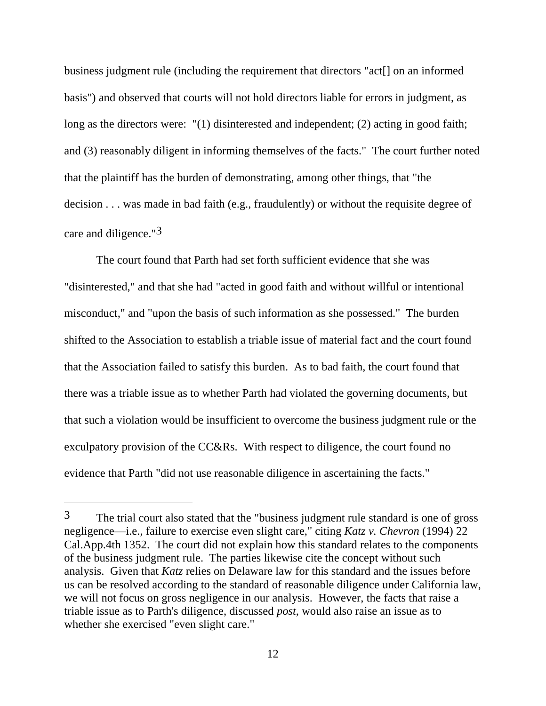business judgment rule (including the requirement that directors "act[] on an informed basis") and observed that courts will not hold directors liable for errors in judgment, as long as the directors were: "(1) disinterested and independent; (2) acting in good faith; and (3) reasonably diligent in informing themselves of the facts." The court further noted that the plaintiff has the burden of demonstrating, among other things, that "the decision . . . was made in bad faith (e.g., fraudulently) or without the requisite degree of care and diligence."3

The court found that Parth had set forth sufficient evidence that she was "disinterested," and that she had "acted in good faith and without willful or intentional misconduct," and "upon the basis of such information as she possessed." The burden shifted to the Association to establish a triable issue of material fact and the court found that the Association failed to satisfy this burden. As to bad faith, the court found that there was a triable issue as to whether Parth had violated the governing documents, but that such a violation would be insufficient to overcome the business judgment rule or the exculpatory provision of the CC&Rs. With respect to diligence, the court found no evidence that Parth "did not use reasonable diligence in ascertaining the facts."

 $\overline{a}$ 

<sup>3</sup> The trial court also stated that the "business judgment rule standard is one of gross negligence—i.e., failure to exercise even slight care," citing *Katz v. Chevron* (1994) 22 Cal.App.4th 1352. The court did not explain how this standard relates to the components of the business judgment rule. The parties likewise cite the concept without such analysis. Given that *Katz* relies on Delaware law for this standard and the issues before us can be resolved according to the standard of reasonable diligence under California law, we will not focus on gross negligence in our analysis. However, the facts that raise a triable issue as to Parth's diligence, discussed *post*, would also raise an issue as to whether she exercised "even slight care."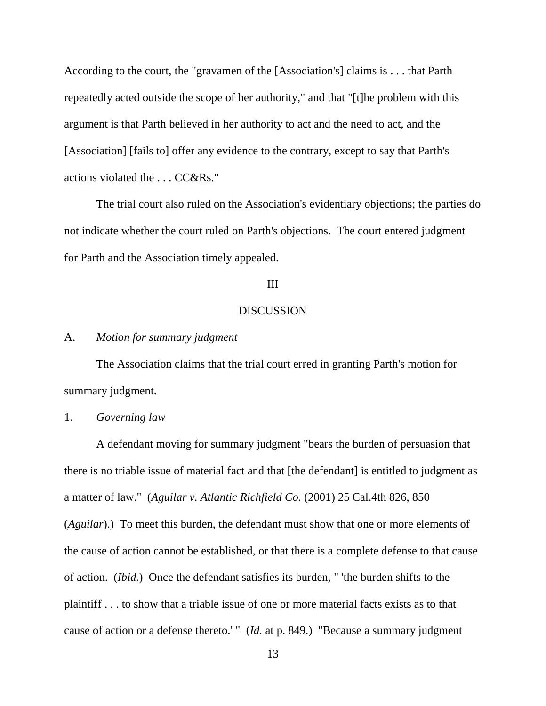According to the court, the "gravamen of the [Association's] claims is . . . that Parth repeatedly acted outside the scope of her authority," and that "[t]he problem with this argument is that Parth believed in her authority to act and the need to act, and the [Association] [fails to] offer any evidence to the contrary, except to say that Parth's actions violated the . . . CC&Rs."

The trial court also ruled on the Association's evidentiary objections; the parties do not indicate whether the court ruled on Parth's objections. The court entered judgment for Parth and the Association timely appealed.

#### III

### **DISCUSSION**

#### A. *Motion for summary judgment*

The Association claims that the trial court erred in granting Parth's motion for summary judgment.

## 1. *Governing law*

A defendant moving for summary judgment "bears the burden of persuasion that there is no triable issue of material fact and that [the defendant] is entitled to judgment as a matter of law." (*Aguilar v. Atlantic Richfield Co.* (2001) 25 Cal.4th 826, 850 (*Aguilar*).) To meet this burden, the defendant must show that one or more elements of the cause of action cannot be established, or that there is a complete defense to that cause of action. (*Ibid*.) Once the defendant satisfies its burden, " 'the burden shifts to the plaintiff . . . to show that a triable issue of one or more material facts exists as to that cause of action or a defense thereto.' " (*Id.* at p. 849.) "Because a summary judgment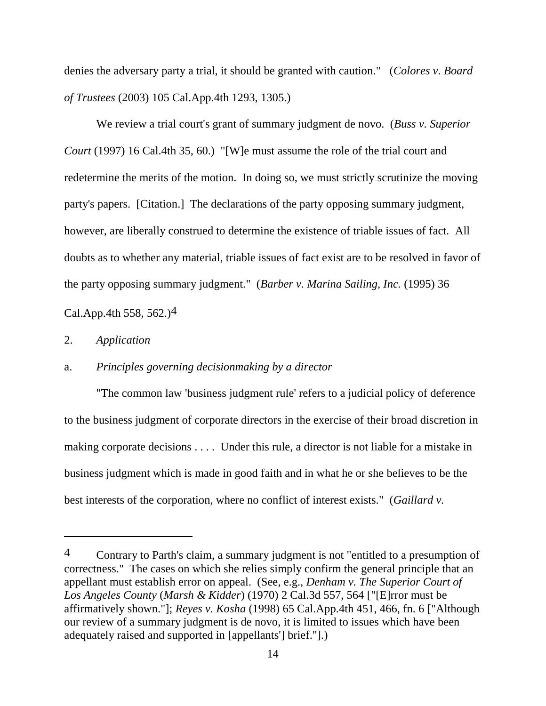denies the adversary party a trial, it should be granted with caution." (*Colores v. Board of Trustees* (2003) 105 Cal.App.4th 1293, 1305.)

We review a trial court's grant of summary judgment de novo. (*Buss v. Superior Court* (1997) 16 Cal.4th 35, 60.) "[W]e must assume the role of the trial court and redetermine the merits of the motion. In doing so, we must strictly scrutinize the moving party's papers. [Citation.] The declarations of the party opposing summary judgment, however, are liberally construed to determine the existence of triable issues of fact. All doubts as to whether any material, triable issues of fact exist are to be resolved in favor of the party opposing summary judgment." (*Barber v. Marina Sailing, Inc.* (1995) 36 Cal.App.4th 558, 562.)4

2. *Application*

### a. *Principles governing decisionmaking by a director*

"The common law 'business judgment rule' refers to a judicial policy of deference to the business judgment of corporate directors in the exercise of their broad discretion in making corporate decisions . . . . Under this rule, a director is not liable for a mistake in business judgment which is made in good faith and in what he or she believes to be the best interests of the corporation, where no conflict of interest exists." (*Gaillard v.* 

<sup>4</sup> Contrary to Parth's claim, a summary judgment is not "entitled to a presumption of correctness." The cases on which she relies simply confirm the general principle that an appellant must establish error on appeal. (See, e.g., *Denham v. The Superior Court of Los Angeles County* (*Marsh & Kidder*) (1970) 2 Cal.3d 557, 564 ["[E]rror must be affirmatively shown."]; *Reyes v. Kosha* (1998) 65 Cal.App.4th 451, 466, fn. 6 ["Although our review of a summary judgment is de novo, it is limited to issues which have been adequately raised and supported in [appellants'] brief."].)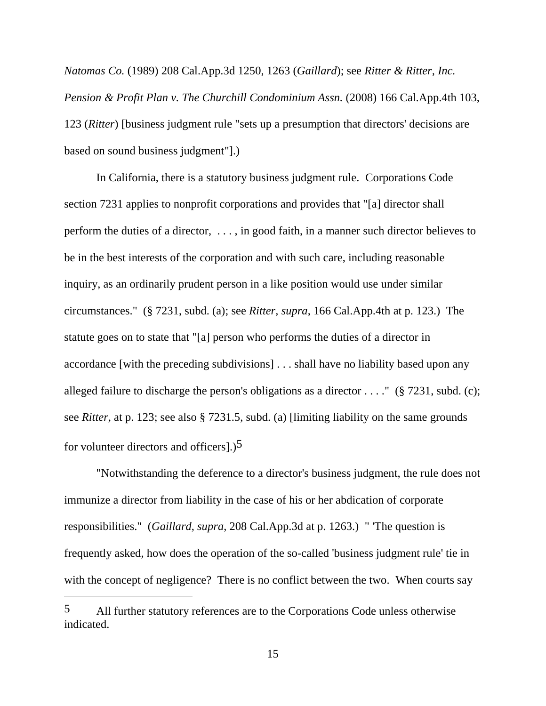*Natomas Co.* (1989) 208 Cal.App.3d 1250, 1263 (*Gaillard*); see *Ritter & Ritter, Inc. Pension & Profit Plan v. The Churchill Condominium Assn.* (2008) 166 Cal.App.4th 103, 123 (*Ritter*) [business judgment rule "sets up a presumption that directors' decisions are based on sound business judgment"].)

In California, there is a statutory business judgment rule. Corporations Code section 7231 applies to nonprofit corporations and provides that "[a] director shall perform the duties of a director, . . . , in good faith, in a manner such director believes to be in the best interests of the corporation and with such care, including reasonable inquiry, as an ordinarily prudent person in a like position would use under similar circumstances." (§ 7231, subd. (a); see *Ritter*, *supra*, 166 Cal.App.4th at p. 123.) The statute goes on to state that "[a] person who performs the duties of a director in accordance [with the preceding subdivisions] . . . shall have no liability based upon any alleged failure to discharge the person's obligations as a director  $\dots$ ." (§ 7231, subd. (c); see *Ritter*, at p. 123; see also § 7231.5, subd. (a) [limiting liability on the same grounds for volunteer directors and officers].) $5$ 

"Notwithstanding the deference to a director's business judgment, the rule does not immunize a director from liability in the case of his or her abdication of corporate responsibilities." (*Gaillard*, *supra*, 208 Cal.App.3d at p. 1263.) " 'The question is frequently asked, how does the operation of the so-called 'business judgment rule' tie in with the concept of negligence? There is no conflict between the two. When courts say

 $\overline{a}$ 

<sup>5</sup> All further statutory references are to the Corporations Code unless otherwise indicated.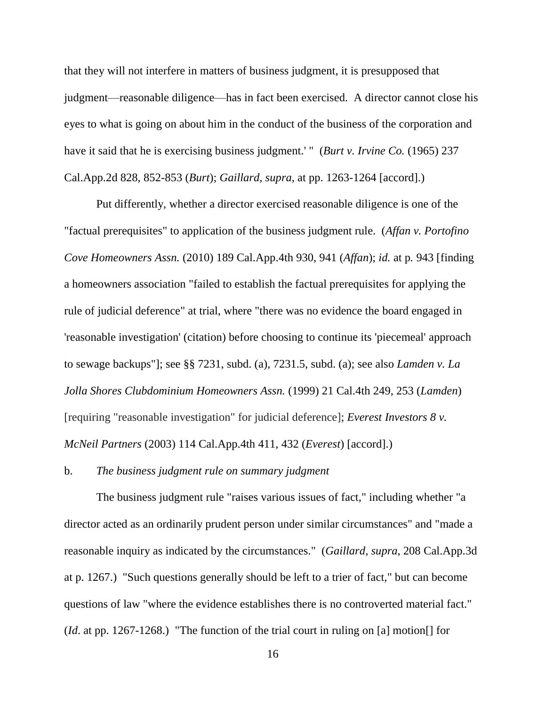that they will not interfere in matters of business judgment, it is presupposed that judgment—reasonable diligence—has in fact been exercised. A director cannot close his eyes to what is going on about him in the conduct of the business of the corporation and have it said that he is exercising business judgment.' " (*Burt v. Irvine Co.* (1965) 237 Cal.App.2d 828, 852-853 (*Burt*); *Gaillard*, *supra*, at pp. 1263-1264 [accord].)

Put differently, whether a director exercised reasonable diligence is one of the "factual prerequisites" to application of the business judgment rule. (*Affan v. Portofino Cove Homeowners Assn.* (2010) 189 Cal.App.4th 930, 941 (*Affan*); *id.* at p*.* 943 [finding a homeowners association "failed to establish the factual prerequisites for applying the rule of judicial deference" at trial, where "there was no evidence the board engaged in 'reasonable investigation' (citation) before choosing to continue its 'piecemeal' approach to sewage backups"]; see §§ 7231, subd. (a), 7231.5, subd. (a); see also *Lamden v. La Jolla Shores Clubdominium Homeowners Assn.* (1999) 21 Cal.4th 249, 253 (*Lamden*) [requiring "reasonable investigation" for judicial deference]; *Everest Investors 8 v. McNeil Partners* (2003) 114 Cal.App.4th 411, 432 (*Everest*) [accord].)

b. *The business judgment rule on summary judgment*

The business judgment rule "raises various issues of fact," including whether "a director acted as an ordinarily prudent person under similar circumstances" and "made a reasonable inquiry as indicated by the circumstances." (*Gaillard*, *supra*, 208 Cal.App.3d at p. 1267.) "Such questions generally should be left to a trier of fact," but can become questions of law "where the evidence establishes there is no controverted material fact." (*Id*. at pp. 1267-1268.) "The function of the trial court in ruling on [a] motion[] for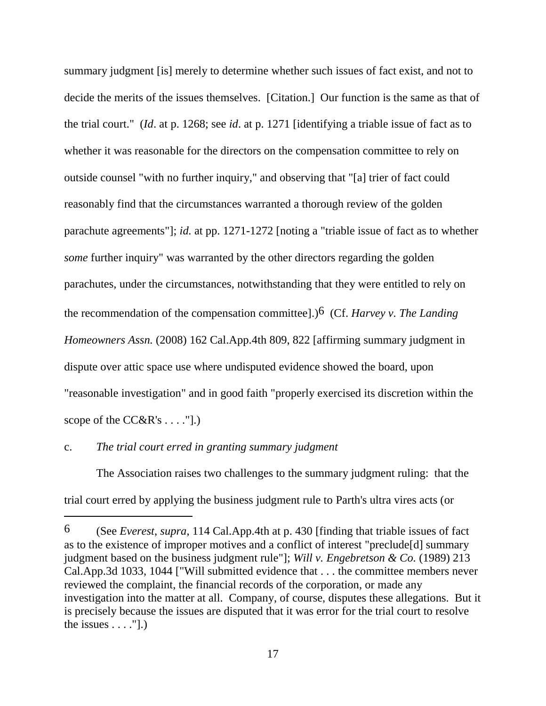summary judgment [is] merely to determine whether such issues of fact exist, and not to decide the merits of the issues themselves. [Citation.] Our function is the same as that of the trial court." (*Id*. at p. 1268; see *id*. at p. 1271 [identifying a triable issue of fact as to whether it was reasonable for the directors on the compensation committee to rely on outside counsel "with no further inquiry," and observing that "[a] trier of fact could reasonably find that the circumstances warranted a thorough review of the golden parachute agreements"]; *id.* at pp. 1271-1272 [noting a "triable issue of fact as to whether *some* further inquiry" was warranted by the other directors regarding the golden parachutes, under the circumstances, notwithstanding that they were entitled to rely on the recommendation of the compensation committee].)6 (Cf. *Harvey v. The Landing Homeowners Assn.* (2008) 162 Cal.App.4th 809, 822 [affirming summary judgment in dispute over attic space use where undisputed evidence showed the board, upon "reasonable investigation" and in good faith "properly exercised its discretion within the scope of the CC&R's . . . ."].)

# c. *The trial court erred in granting summary judgment*

 $\overline{a}$ 

The Association raises two challenges to the summary judgment ruling: that the trial court erred by applying the business judgment rule to Parth's ultra vires acts (or

<sup>6</sup> (See *Everest*, *supra*, 114 Cal.App.4th at p. 430 [finding that triable issues of fact as to the existence of improper motives and a conflict of interest "preclude[d] summary judgment based on the business judgment rule"]; *Will v. Engebretson & Co.* (1989) 213 Cal.App.3d 1033, 1044 ["Will submitted evidence that . . . the committee members never reviewed the complaint, the financial records of the corporation, or made any investigation into the matter at all. Company, of course, disputes these allegations. But it is precisely because the issues are disputed that it was error for the trial court to resolve the issues  $\dots$ ."].)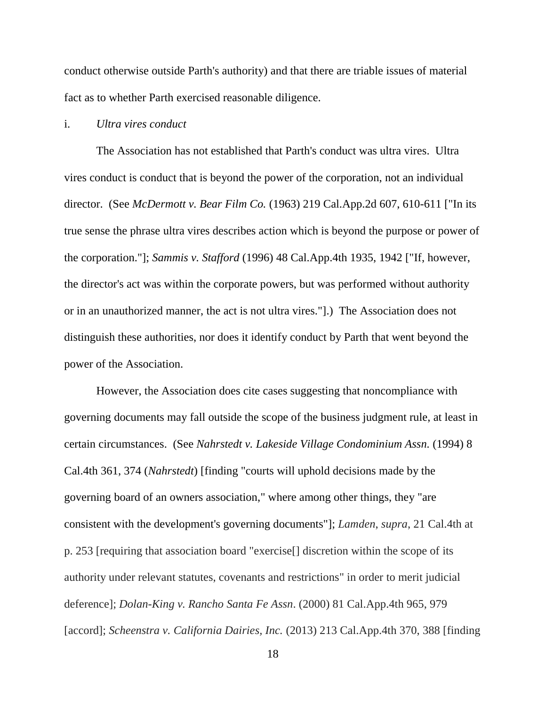conduct otherwise outside Parth's authority) and that there are triable issues of material fact as to whether Parth exercised reasonable diligence.

#### i. *Ultra vires conduct*

The Association has not established that Parth's conduct was ultra vires. Ultra vires conduct is conduct that is beyond the power of the corporation, not an individual director. (See *McDermott v. Bear Film Co.* (1963) 219 Cal.App.2d 607, 610-611 ["In its true sense the phrase ultra vires describes action which is beyond the purpose or power of the corporation."]; *Sammis v. Stafford* (1996) 48 Cal.App.4th 1935, 1942 ["If, however, the director's act was within the corporate powers, but was performed without authority or in an unauthorized manner, the act is not ultra vires."].) The Association does not distinguish these authorities, nor does it identify conduct by Parth that went beyond the power of the Association.

However, the Association does cite cases suggesting that noncompliance with governing documents may fall outside the scope of the business judgment rule, at least in certain circumstances. (See *Nahrstedt v. Lakeside Village Condominium Assn.* (1994) 8 Cal.4th 361, 374 (*Nahrstedt*) [finding "courts will uphold decisions made by the governing board of an owners association," where among other things, they "are consistent with the development's governing documents"]; *Lamden*, *supra*, 21 Cal.4th at p. 253 [requiring that association board "exercise[] discretion within the scope of its authority under relevant statutes, covenants and restrictions" in order to merit judicial deference]; *Dolan-King v. Rancho Santa Fe Assn*. (2000) 81 Cal.App.4th 965, 979 [accord]; *Scheenstra v. California Dairies, Inc.* (2013) 213 Cal.App.4th 370, 388 [finding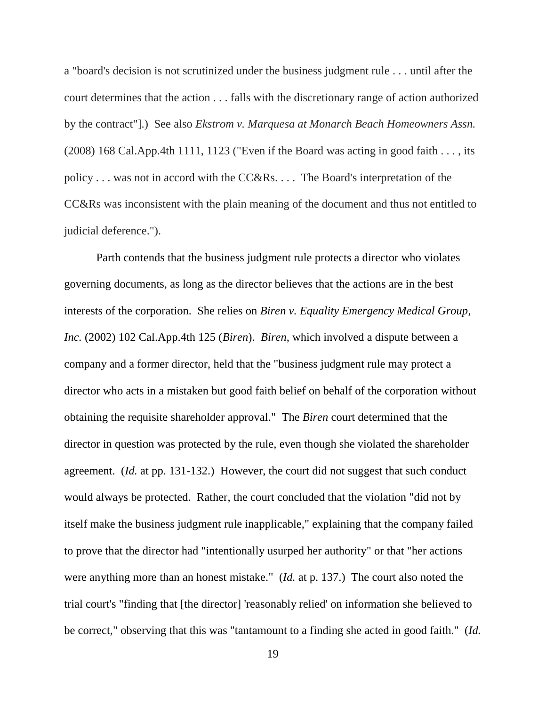a "board's decision is not scrutinized under the business judgment rule . . . until after the court determines that the action . . . falls with the discretionary range of action authorized by the contract"].) See also *Ekstrom v. Marquesa at Monarch Beach Homeowners Assn.*  $(2008)$  168 Cal.App.4th 1111, 1123 ("Even if the Board was acting in good faith . . . , its policy . . . was not in accord with the CC&Rs. . . . The Board's interpretation of the CC&Rs was inconsistent with the plain meaning of the document and thus not entitled to judicial deference.").

Parth contends that the business judgment rule protects a director who violates governing documents, as long as the director believes that the actions are in the best interests of the corporation. She relies on *Biren v. Equality Emergency Medical Group, Inc.* (2002) 102 Cal.App.4th 125 (*Biren*). *Biren*, which involved a dispute between a company and a former director, held that the "business judgment rule may protect a director who acts in a mistaken but good faith belief on behalf of the corporation without obtaining the requisite shareholder approval." The *Biren* court determined that the director in question was protected by the rule, even though she violated the shareholder agreement. (*Id.* at pp. 131-132.) However, the court did not suggest that such conduct would always be protected. Rather, the court concluded that the violation "did not by itself make the business judgment rule inapplicable," explaining that the company failed to prove that the director had "intentionally usurped her authority" or that "her actions were anything more than an honest mistake." (*Id.* at p. 137.) The court also noted the trial court's "finding that [the director] 'reasonably relied' on information she believed to be correct," observing that this was "tantamount to a finding she acted in good faith." (*Id.*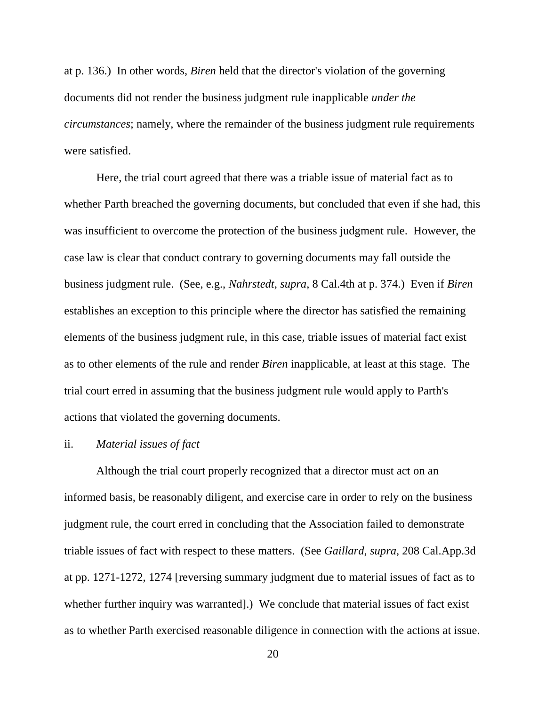at p. 136.) In other words, *Biren* held that the director's violation of the governing documents did not render the business judgment rule inapplicable *under the circumstances*; namely, where the remainder of the business judgment rule requirements were satisfied.

Here, the trial court agreed that there was a triable issue of material fact as to whether Parth breached the governing documents, but concluded that even if she had, this was insufficient to overcome the protection of the business judgment rule. However, the case law is clear that conduct contrary to governing documents may fall outside the business judgment rule. (See, e.g., *Nahrstedt*, *supra*, 8 Cal.4th at p. 374.) Even if *Biren* establishes an exception to this principle where the director has satisfied the remaining elements of the business judgment rule, in this case, triable issues of material fact exist as to other elements of the rule and render *Biren* inapplicable, at least at this stage. The trial court erred in assuming that the business judgment rule would apply to Parth's actions that violated the governing documents.

## ii. *Material issues of fact*

Although the trial court properly recognized that a director must act on an informed basis, be reasonably diligent, and exercise care in order to rely on the business judgment rule, the court erred in concluding that the Association failed to demonstrate triable issues of fact with respect to these matters. (See *Gaillard*, *supra*, 208 Cal.App.3d at pp. 1271-1272, 1274 [reversing summary judgment due to material issues of fact as to whether further inquiry was warranted.) We conclude that material issues of fact exist as to whether Parth exercised reasonable diligence in connection with the actions at issue.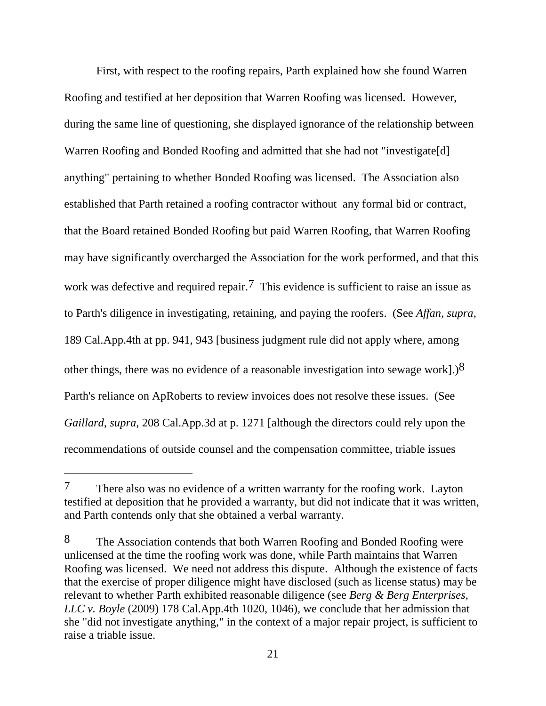First, with respect to the roofing repairs, Parth explained how she found Warren Roofing and testified at her deposition that Warren Roofing was licensed. However, during the same line of questioning, she displayed ignorance of the relationship between Warren Roofing and Bonded Roofing and admitted that she had not "investigate[d] anything" pertaining to whether Bonded Roofing was licensed. The Association also established that Parth retained a roofing contractor without any formal bid or contract, that the Board retained Bonded Roofing but paid Warren Roofing, that Warren Roofing may have significantly overcharged the Association for the work performed, and that this work was defective and required repair.<sup>7</sup> This evidence is sufficient to raise an issue as to Parth's diligence in investigating, retaining, and paying the roofers. (See *Affan*, *supra*, 189 Cal.App.4th at pp. 941, 943 [business judgment rule did not apply where, among other things, there was no evidence of a reasonable investigation into sewage work].) $8$ Parth's reliance on ApRoberts to review invoices does not resolve these issues. (See *Gaillard*, *supra*, 208 Cal.App.3d at p. 1271 [although the directors could rely upon the recommendations of outside counsel and the compensation committee, triable issues

 $\overline{a}$ 

<sup>7</sup> There also was no evidence of a written warranty for the roofing work. Layton testified at deposition that he provided a warranty, but did not indicate that it was written, and Parth contends only that she obtained a verbal warranty.

<sup>8</sup> The Association contends that both Warren Roofing and Bonded Roofing were unlicensed at the time the roofing work was done, while Parth maintains that Warren Roofing was licensed. We need not address this dispute. Although the existence of facts that the exercise of proper diligence might have disclosed (such as license status) may be relevant to whether Parth exhibited reasonable diligence (see *Berg & Berg Enterprises, LLC v. Boyle* (2009) 178 Cal.App.4th 1020, 1046), we conclude that her admission that she "did not investigate anything," in the context of a major repair project, is sufficient to raise a triable issue.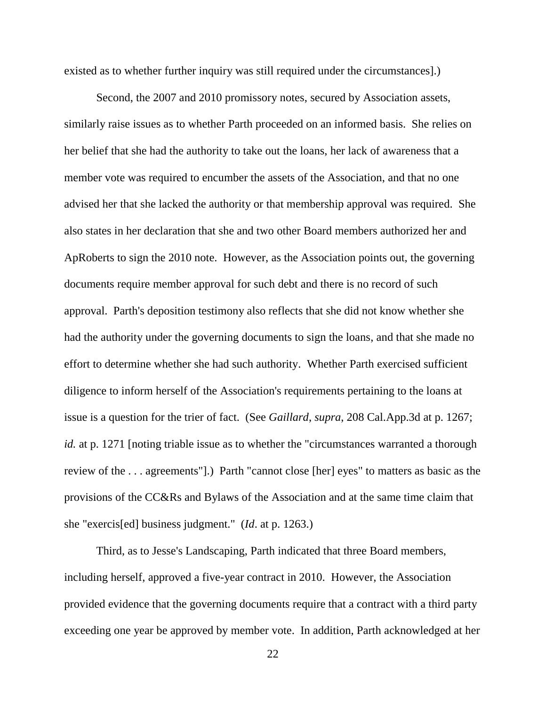existed as to whether further inquiry was still required under the circumstances].)

Second, the 2007 and 2010 promissory notes, secured by Association assets, similarly raise issues as to whether Parth proceeded on an informed basis. She relies on her belief that she had the authority to take out the loans, her lack of awareness that a member vote was required to encumber the assets of the Association, and that no one advised her that she lacked the authority or that membership approval was required. She also states in her declaration that she and two other Board members authorized her and ApRoberts to sign the 2010 note. However, as the Association points out, the governing documents require member approval for such debt and there is no record of such approval. Parth's deposition testimony also reflects that she did not know whether she had the authority under the governing documents to sign the loans, and that she made no effort to determine whether she had such authority. Whether Parth exercised sufficient diligence to inform herself of the Association's requirements pertaining to the loans at issue is a question for the trier of fact. (See *Gaillard*, *supra*, 208 Cal.App.3d at p. 1267; *id.* at p. 1271 [noting triable issue as to whether the "circumstances warranted a thorough review of the . . . agreements"].) Parth "cannot close [her] eyes" to matters as basic as the provisions of the CC&Rs and Bylaws of the Association and at the same time claim that she "exercis[ed] business judgment." (*Id*. at p. 1263.)

Third, as to Jesse's Landscaping, Parth indicated that three Board members, including herself, approved a five-year contract in 2010. However, the Association provided evidence that the governing documents require that a contract with a third party exceeding one year be approved by member vote. In addition, Parth acknowledged at her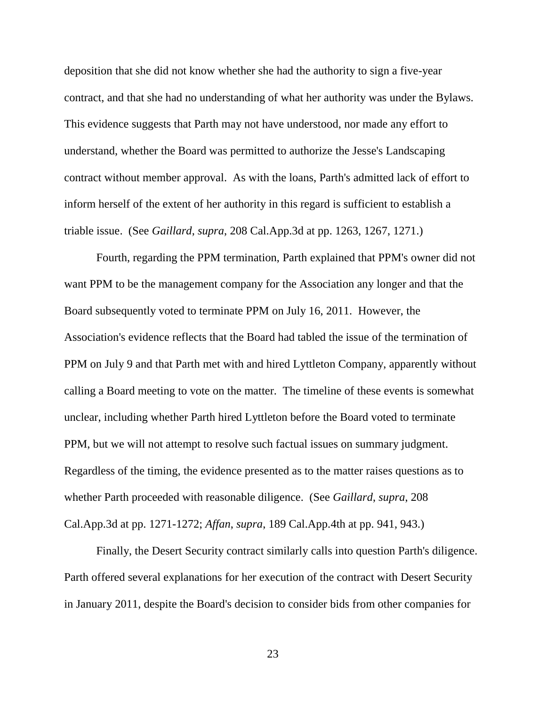deposition that she did not know whether she had the authority to sign a five-year contract, and that she had no understanding of what her authority was under the Bylaws. This evidence suggests that Parth may not have understood, nor made any effort to understand, whether the Board was permitted to authorize the Jesse's Landscaping contract without member approval. As with the loans, Parth's admitted lack of effort to inform herself of the extent of her authority in this regard is sufficient to establish a triable issue. (See *Gaillard*, *supra*, 208 Cal.App.3d at pp. 1263, 1267, 1271.)

Fourth, regarding the PPM termination, Parth explained that PPM's owner did not want PPM to be the management company for the Association any longer and that the Board subsequently voted to terminate PPM on July 16, 2011. However, the Association's evidence reflects that the Board had tabled the issue of the termination of PPM on July 9 and that Parth met with and hired Lyttleton Company, apparently without calling a Board meeting to vote on the matter. The timeline of these events is somewhat unclear, including whether Parth hired Lyttleton before the Board voted to terminate PPM, but we will not attempt to resolve such factual issues on summary judgment. Regardless of the timing, the evidence presented as to the matter raises questions as to whether Parth proceeded with reasonable diligence. (See *Gaillard*, *supra*, 208 Cal.App.3d at pp. 1271-1272; *Affan*, *supra*, 189 Cal.App.4th at pp. 941, 943.)

Finally, the Desert Security contract similarly calls into question Parth's diligence. Parth offered several explanations for her execution of the contract with Desert Security in January 2011, despite the Board's decision to consider bids from other companies for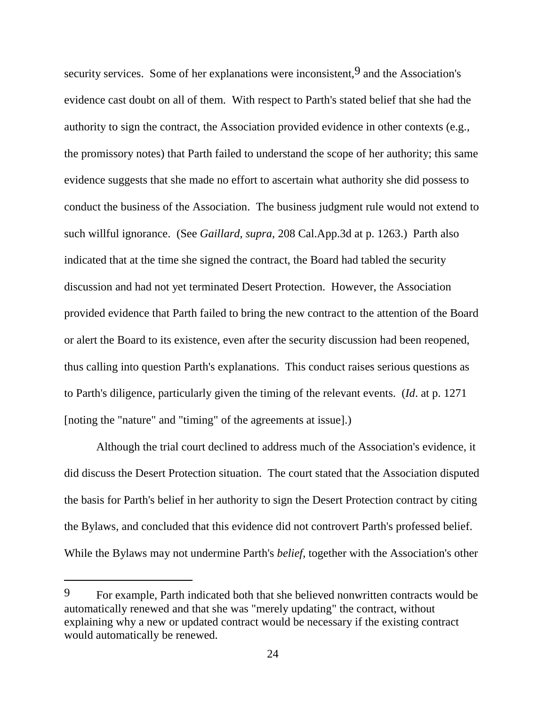security services. Some of her explanations were inconsistent,  $9$  and the Association's evidence cast doubt on all of them. With respect to Parth's stated belief that she had the authority to sign the contract, the Association provided evidence in other contexts (e.g., the promissory notes) that Parth failed to understand the scope of her authority; this same evidence suggests that she made no effort to ascertain what authority she did possess to conduct the business of the Association. The business judgment rule would not extend to such willful ignorance. (See *Gaillard*, *supra*, 208 Cal.App.3d at p. 1263.) Parth also indicated that at the time she signed the contract, the Board had tabled the security discussion and had not yet terminated Desert Protection. However, the Association provided evidence that Parth failed to bring the new contract to the attention of the Board or alert the Board to its existence, even after the security discussion had been reopened, thus calling into question Parth's explanations. This conduct raises serious questions as to Parth's diligence, particularly given the timing of the relevant events. (*Id*. at p. 1271 [noting the "nature" and "timing" of the agreements at issue].)

Although the trial court declined to address much of the Association's evidence, it did discuss the Desert Protection situation. The court stated that the Association disputed the basis for Parth's belief in her authority to sign the Desert Protection contract by citing the Bylaws, and concluded that this evidence did not controvert Parth's professed belief. While the Bylaws may not undermine Parth's *belief*, together with the Association's other

<sup>9</sup> For example, Parth indicated both that she believed nonwritten contracts would be automatically renewed and that she was "merely updating" the contract, without explaining why a new or updated contract would be necessary if the existing contract would automatically be renewed.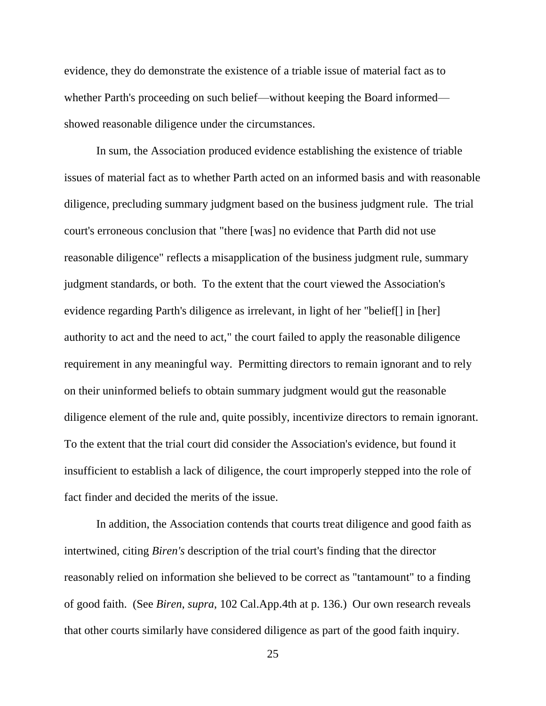evidence, they do demonstrate the existence of a triable issue of material fact as to whether Parth's proceeding on such belief—without keeping the Board informed showed reasonable diligence under the circumstances.

In sum, the Association produced evidence establishing the existence of triable issues of material fact as to whether Parth acted on an informed basis and with reasonable diligence, precluding summary judgment based on the business judgment rule. The trial court's erroneous conclusion that "there [was] no evidence that Parth did not use reasonable diligence" reflects a misapplication of the business judgment rule, summary judgment standards, or both. To the extent that the court viewed the Association's evidence regarding Parth's diligence as irrelevant, in light of her "belief[] in [her] authority to act and the need to act," the court failed to apply the reasonable diligence requirement in any meaningful way. Permitting directors to remain ignorant and to rely on their uninformed beliefs to obtain summary judgment would gut the reasonable diligence element of the rule and, quite possibly, incentivize directors to remain ignorant. To the extent that the trial court did consider the Association's evidence, but found it insufficient to establish a lack of diligence, the court improperly stepped into the role of fact finder and decided the merits of the issue.

In addition, the Association contends that courts treat diligence and good faith as intertwined, citing *Biren's* description of the trial court's finding that the director reasonably relied on information she believed to be correct as "tantamount" to a finding of good faith. (See *Biren*, *supra*, 102 Cal.App.4th at p. 136.) Our own research reveals that other courts similarly have considered diligence as part of the good faith inquiry.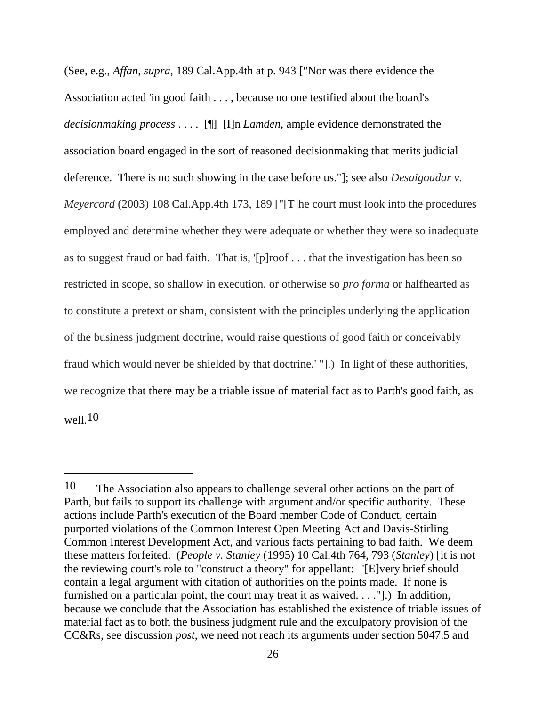(See, e.g., *Affan*, *supra*, 189 Cal.App.4th at p. 943 ["Nor was there evidence the Association acted 'in good faith . . . , because no one testified about the board's *decisionmaking process* . . . . [¶] [I]n *Lamden*, ample evidence demonstrated the association board engaged in the sort of reasoned decisionmaking that merits judicial deference. There is no such showing in the case before us."]; see also *Desaigoudar v. Meyercord* (2003) 108 Cal.App.4th 173, 189 ["[T]he court must look into the procedures employed and determine whether they were adequate or whether they were so inadequate as to suggest fraud or bad faith. That is, '[p]roof . . . that the investigation has been so restricted in scope, so shallow in execution, or otherwise so *pro forma* or halfhearted as to constitute a pretext or sham, consistent with the principles underlying the application of the business judgment doctrine, would raise questions of good faith or conceivably fraud which would never be shielded by that doctrine.' "].) In light of these authorities, we recognize that there may be a triable issue of material fact as to Parth's good faith, as well  $10$ 

<sup>10</sup> The Association also appears to challenge several other actions on the part of Parth, but fails to support its challenge with argument and/or specific authority. These actions include Parth's execution of the Board member Code of Conduct, certain purported violations of the Common Interest Open Meeting Act and Davis-Stirling Common Interest Development Act, and various facts pertaining to bad faith. We deem these matters forfeited. (*People v. Stanley* (1995) 10 Cal.4th 764, 793 (*Stanley*) [it is not the reviewing court's role to "construct a theory" for appellant: "[E]very brief should contain a legal argument with citation of authorities on the points made. If none is furnished on a particular point, the court may treat it as waived. . . ."].) In addition, because we conclude that the Association has established the existence of triable issues of material fact as to both the business judgment rule and the exculpatory provision of the CC&Rs, see discussion *post*, we need not reach its arguments under section 5047.5 and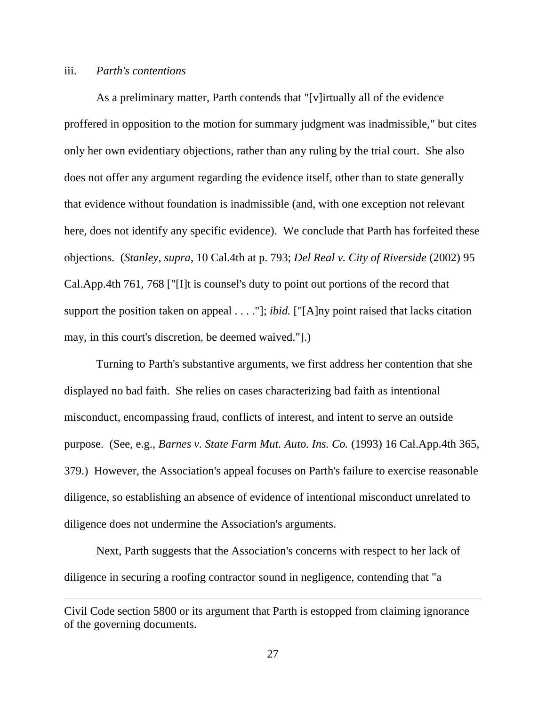#### iii. *Parth's contentions*

 $\overline{a}$ 

As a preliminary matter, Parth contends that "[v]irtually all of the evidence proffered in opposition to the motion for summary judgment was inadmissible," but cites only her own evidentiary objections, rather than any ruling by the trial court. She also does not offer any argument regarding the evidence itself, other than to state generally that evidence without foundation is inadmissible (and, with one exception not relevant here, does not identify any specific evidence). We conclude that Parth has forfeited these objections. (*Stanley*, *supra*, 10 Cal.4th at p. 793; *Del Real v. City of Riverside* (2002) 95 Cal.App.4th 761, 768 ["[I]t is counsel's duty to point out portions of the record that support the position taken on appeal . . . ."]; *ibid.* ["[A]ny point raised that lacks citation may, in this court's discretion, be deemed waived."].)

Turning to Parth's substantive arguments, we first address her contention that she displayed no bad faith. She relies on cases characterizing bad faith as intentional misconduct, encompassing fraud, conflicts of interest, and intent to serve an outside purpose. (See, e.g., *Barnes v. State Farm Mut. Auto. Ins. Co.* (1993) 16 Cal.App.4th 365, 379.) However, the Association's appeal focuses on Parth's failure to exercise reasonable diligence, so establishing an absence of evidence of intentional misconduct unrelated to diligence does not undermine the Association's arguments.

Next, Parth suggests that the Association's concerns with respect to her lack of diligence in securing a roofing contractor sound in negligence, contending that "a

Civil Code section 5800 or its argument that Parth is estopped from claiming ignorance of the governing documents.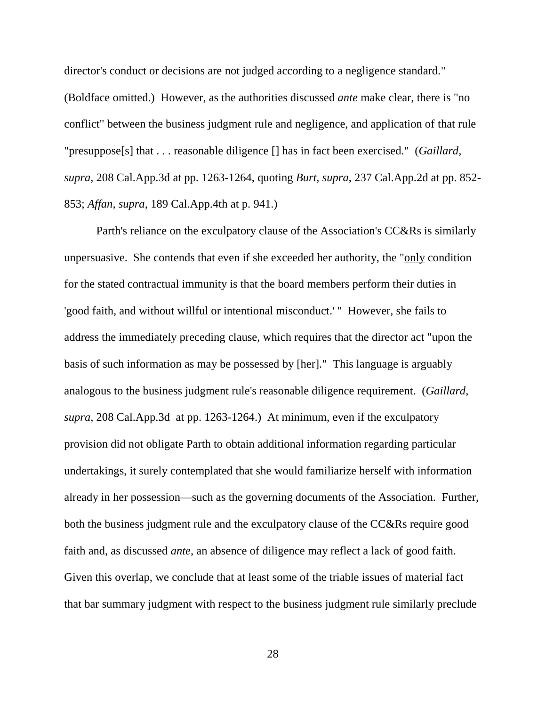director's conduct or decisions are not judged according to a negligence standard." (Boldface omitted.) However, as the authorities discussed *ante* make clear, there is "no conflict" between the business judgment rule and negligence, and application of that rule "presuppose[s] that . . . reasonable diligence [] has in fact been exercised." (*Gaillard*, *supra*, 208 Cal.App.3d at pp. 1263-1264, quoting *Burt*, *supra*, 237 Cal.App.2d at pp. 852- 853; *Affan*, *supra*, 189 Cal.App.4th at p. 941.)

Parth's reliance on the exculpatory clause of the Association's CC&Rs is similarly unpersuasive. She contends that even if she exceeded her authority, the "only condition for the stated contractual immunity is that the board members perform their duties in 'good faith, and without willful or intentional misconduct.' " However, she fails to address the immediately preceding clause, which requires that the director act "upon the basis of such information as may be possessed by [her]." This language is arguably analogous to the business judgment rule's reasonable diligence requirement. (*Gaillard*, *supra*, 208 Cal.App.3d at pp. 1263-1264.) At minimum, even if the exculpatory provision did not obligate Parth to obtain additional information regarding particular undertakings, it surely contemplated that she would familiarize herself with information already in her possession—such as the governing documents of the Association. Further, both the business judgment rule and the exculpatory clause of the CC&Rs require good faith and, as discussed *ante*, an absence of diligence may reflect a lack of good faith. Given this overlap, we conclude that at least some of the triable issues of material fact that bar summary judgment with respect to the business judgment rule similarly preclude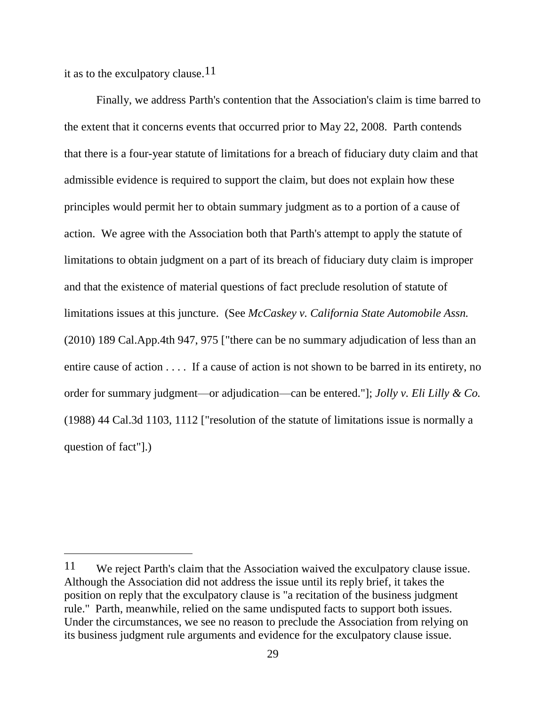it as to the exculpatory clause.<sup>11</sup>

Finally, we address Parth's contention that the Association's claim is time barred to the extent that it concerns events that occurred prior to May 22, 2008. Parth contends that there is a four-year statute of limitations for a breach of fiduciary duty claim and that admissible evidence is required to support the claim, but does not explain how these principles would permit her to obtain summary judgment as to a portion of a cause of action. We agree with the Association both that Parth's attempt to apply the statute of limitations to obtain judgment on a part of its breach of fiduciary duty claim is improper and that the existence of material questions of fact preclude resolution of statute of limitations issues at this juncture. (See *McCaskey v. California State Automobile Assn.* (2010) 189 Cal.App.4th 947, 975 ["there can be no summary adjudication of less than an entire cause of action . . . . If a cause of action is not shown to be barred in its entirety, no order for summary judgment—or adjudication—can be entered."]; *Jolly v. Eli Lilly & Co.* (1988) 44 Cal.3d 1103, 1112 ["resolution of the statute of limitations issue is normally a question of fact"].)

<sup>11</sup> We reject Parth's claim that the Association waived the exculpatory clause issue. Although the Association did not address the issue until its reply brief, it takes the position on reply that the exculpatory clause is "a recitation of the business judgment rule." Parth, meanwhile, relied on the same undisputed facts to support both issues. Under the circumstances, we see no reason to preclude the Association from relying on its business judgment rule arguments and evidence for the exculpatory clause issue.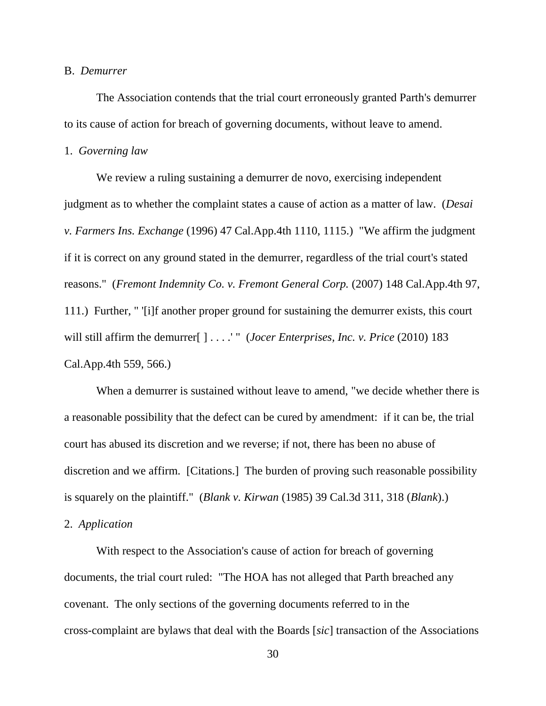#### B. *Demurrer*

The Association contends that the trial court erroneously granted Parth's demurrer to its cause of action for breach of governing documents, without leave to amend.

#### 1. *Governing law*

We review a ruling sustaining a demurrer de novo, exercising independent judgment as to whether the complaint states a cause of action as a matter of law. (*Desai v. Farmers Ins. Exchange* (1996) 47 Cal.App.4th 1110, 1115.) "We affirm the judgment if it is correct on any ground stated in the demurrer, regardless of the trial court's stated reasons." (*Fremont Indemnity Co. v. Fremont General Corp.* (2007) 148 Cal.App.4th 97, 111.) Further, " '[i]f another proper ground for sustaining the demurrer exists, this court will still affirm the demurrer[ ] . . . . " (*Jocer Enterprises, Inc. v. Price* (2010) 183 Cal.App.4th 559, 566.)

When a demurrer is sustained without leave to amend, "we decide whether there is a reasonable possibility that the defect can be cured by amendment: if it can be, the trial court has abused its discretion and we reverse; if not, there has been no abuse of discretion and we affirm. [Citations.] The burden of proving such reasonable possibility is squarely on the plaintiff." (*Blank v. Kirwan* (1985) 39 Cal.3d 311, 318 (*Blank*).)

## 2. *Application*

With respect to the Association's cause of action for breach of governing documents, the trial court ruled: "The HOA has not alleged that Parth breached any covenant. The only sections of the governing documents referred to in the cross-complaint are bylaws that deal with the Boards [*sic*] transaction of the Associations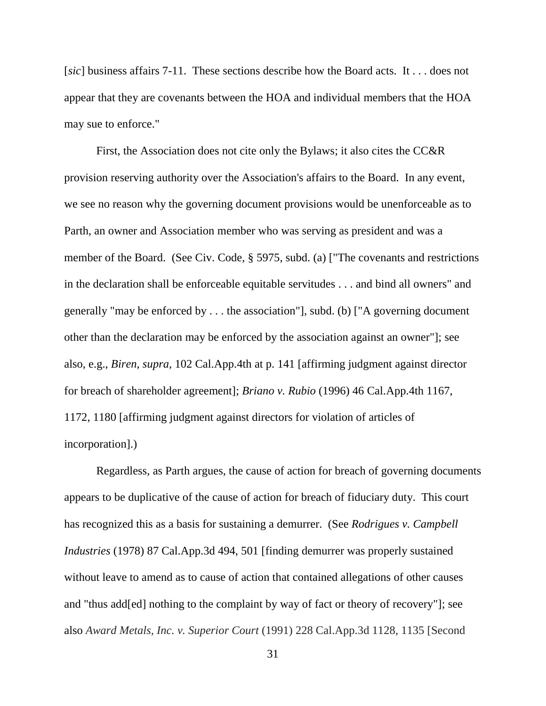[*sic*] business affairs 7-11. These sections describe how the Board acts. It . . . does not appear that they are covenants between the HOA and individual members that the HOA may sue to enforce."

First, the Association does not cite only the Bylaws; it also cites the CC&R provision reserving authority over the Association's affairs to the Board. In any event, we see no reason why the governing document provisions would be unenforceable as to Parth, an owner and Association member who was serving as president and was a member of the Board. (See Civ. Code, § 5975, subd. (a) ["The covenants and restrictions in the declaration shall be enforceable equitable servitudes . . . and bind all owners" and generally "may be enforced by  $\dots$  the association"], subd. (b) ["A governing document other than the declaration may be enforced by the association against an owner"]; see also, e.g., *Biren*, *supra*, 102 Cal.App.4th at p. 141 [affirming judgment against director for breach of shareholder agreement]; *Briano v. Rubio* (1996) 46 Cal.App.4th 1167, 1172, 1180 [affirming judgment against directors for violation of articles of incorporation].)

Regardless, as Parth argues, the cause of action for breach of governing documents appears to be duplicative of the cause of action for breach of fiduciary duty. This court has recognized this as a basis for sustaining a demurrer. (See *Rodrigues v. Campbell Industries* (1978) 87 Cal.App.3d 494, 501 [finding demurrer was properly sustained without leave to amend as to cause of action that contained allegations of other causes and "thus add[ed] nothing to the complaint by way of fact or theory of recovery"]; see also *Award Metals, Inc. v. Superior Court* (1991) 228 Cal.App.3d 1128, 1135 [Second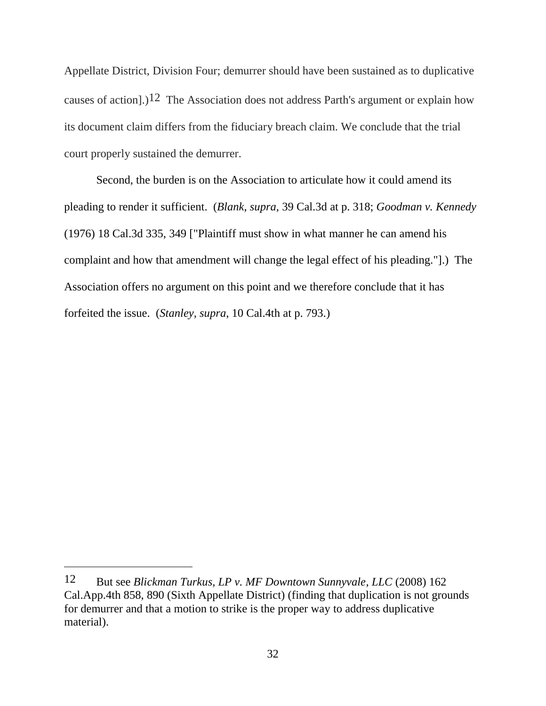Appellate District, Division Four; demurrer should have been sustained as to duplicative causes of action].)<sup>12</sup> The Association does not address Parth's argument or explain how its document claim differs from the fiduciary breach claim. We conclude that the trial court properly sustained the demurrer.

Second, the burden is on the Association to articulate how it could amend its pleading to render it sufficient. (*Blank*, *supra*, 39 Cal.3d at p. 318; *Goodman v. Kennedy* (1976) 18 Cal.3d 335, 349 ["Plaintiff must show in what manner he can amend his complaint and how that amendment will change the legal effect of his pleading."].) The Association offers no argument on this point and we therefore conclude that it has forfeited the issue. (*Stanley*, *supra*, 10 Cal.4th at p. 793.)

<sup>12</sup> But see *Blickman Turkus, LP v. MF Downtown Sunnyvale*, *LLC* (2008) 162 Cal.App.4th 858, 890 (Sixth Appellate District) (finding that duplication is not grounds for demurrer and that a motion to strike is the proper way to address duplicative material).